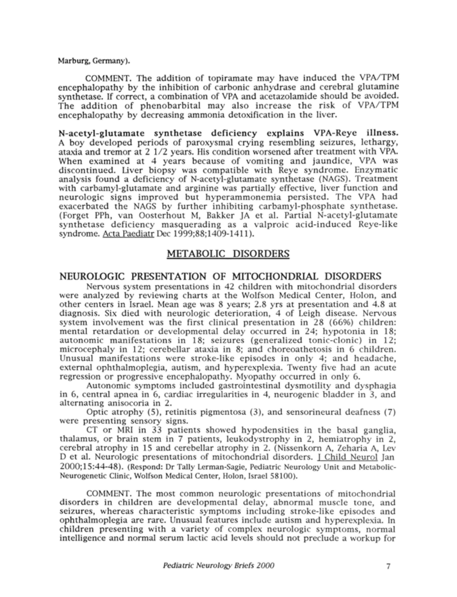### Marburg, Germany).

COMMENT. The addition of topiramate may have induced the VPA/TPM encephalopathy by the inhibition of carbonic anhydrase and cerebral glutamine synthetase. If correct, a combination of VPA and acetazolamide should be avoided. The addition of phenobarbital may also increase the risk of VPA/TPM encephalopathy by decreasing ammonia detoxification in the liver.

N-acetyl-glutamate synthetase deficiency explains VPA-Reye illness. A boy developed periods of paroxysmal crying resembling seizures, lethargy, ataxia and tremor at <sup>2</sup> 1/2 years. His condition worsened after treatment with VPA. When examined at 4 years because of vomiting and jaundice, VPA was discontinued. Liver biopsy was compatible with Reye syndrome. Enzymatic analysis found a deficiency of N-acetyl-glutamate synthetase (NAGS). Treatment with carbamyl-glutamate and arginine was partially effective, liver function and neurologic signs improved but hyperammonemia persisted. The VPA had exacerbated the NAGS by further inhibiting carbamyl-phosphate synthetase. (Forget PPh, van Oosterhout M, Bakker JA et al. Partial N-acetyl-glutamate synthetase deficiency masquerading as a valproic acid-induced Reye-like syndrome. Acta Paediatr Dec 1999;88;1409-1411).

## METABOLIC DISORDERS

### NEUROLOGIC PRESENTATION OF MITOCHONDRIAL DISORDERS

Nervous system presentations in 42 children with mitochondrial disorders were analyzed by reviewing charts at the Wolfson Medical Center, Holon, and other centers in Israel. Mean age was <sup>8</sup> years; 2.8 yrs at presentation and 4.8 at diagnosis. Six died with neurologic deterioration, 4 of Leigh disease. Nervous system involvement was the first clinical presentation in 28 (66%) children: mental retardation or developmental delay occurred in 24; hypotonia in 18; autonomic manifestations in 18; seizures (generalized tonic-clonic) in 12; microcephaly in 12; cerebellar ataxia in 8; and choreoathetosis in 6 children. Unusual manifestations were stroke-like episodes in only 4; and headache, external ophthalmoplegia, autism, and hyperexplexia. Twenty five had an acute regression or progressive encephalopathy. Myopathy occurred in only 6.

Autonomic symptoms included gastrointestinal dysmotility and dysphagia in 6, central apnea in 6, cardiac irregularities in 4, neurogenic bladder in 3, and alternating anisocoria in 2.

Optic atrophy (5), retinitis pigmentosa (3), and sensorineural deafness (7) were presenting sensory signs.

CT or MRI in <sup>33</sup> patients showed hypodensities in the basal ganglia, thalamus, or brain stem in 7 patients, leukodystrophy in 2, hemiatrophy in 2, cerebral atrophy in <sup>15</sup> and cerebellar atrophy in 2. (Nissenkorn A, Zeharia A, Lev D et al. Neurologic presentations of mitochondrial disorders. I Child Neurol Jan 2000;15:44-48). (Respond: Dr Tally Lerman-Sagie, Pediatric Neurology Unit and Metabolic-Neurogenetic Clinic, Wolfson Medical Center, Holon, Israel 58100).

COMMENT. The most common neurologic presentations of mitochondrial disorders in children are developmental delay, abnormal muscle tone, and seizures, whereas characteristic symptoms including stroke-like episodes and ophthalmoplegia are rare. Unusual features include autism and hyperexplexia. In children presenting with <sup>a</sup> variety of complex neurologic symptoms, normal intelligence and normal serum lactic acid levels should not preclude a workup for